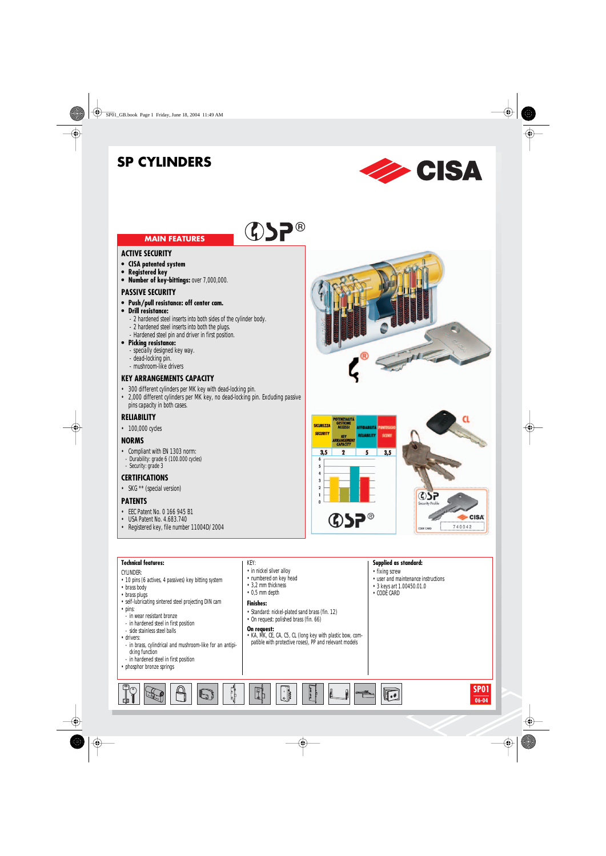# **SP CYLINDERS**



### **MAIN FEATURES**

#### **ACTIVE SECURITY**

- **• CISA patented system**
- **• Registered key**
- **• Number of key-bittings:** over 7,000,000.

#### **PASSIVE SECURITY**

- **• Push/pull resistance: off center cam.**
- **• Drill resistance:**
	- 2 hardened steel inserts into both sides of the cylinder body.
	- 2 hardened steel inserts into both the plugs.
	- Hardened steel pin and driver in first position.
- **• Picking resistance:**
	- specially designed key way.
	- dead-locking pin.
	- mushroom-like drivers

#### **KEY ARRANGEMENTS CAPACITY**

- 300 different cylinders per MK key with dead-locking pin.
- 2,000 different cylinders per MK key, no dead-locking pin. Excluding passive pins capacity in both cases.

#### **RELIABILITY**

• 100,000 cycles

#### **NORMS**

- Compliant with EN 1303 norm:
- Durability: grade 6 (100.000 cycles) - Security: grade 3

### **CERTIFICATIONS**

• SKG \*\* (special version)

#### **PATENTS**

- EEC Patent No. 0 166 945 B1
- USA Patent No. 4.683.740
- Registered key, file number 11004D/2004







#### **Technical features: Supplied as standard:** KEY: • in nickel silver alloy • fixing screw CYLINDER: • numbered on key head • user and maintenance instructions • 10 pins (6 actives, 4 passives) key bitting system • 3,2 mm thickness • 3 keys art 1.00450.01.0 • brass body • 0,5 mm depth • CODE CARD • brass plugs • self-lubricating sintered steel projecting DIN cam **Finishes:** • pins: • Standard: nickel-plated sand brass (fin. 12) - in wear resistant bronze • On request: polished brass (fin. 66) - in hardened steel in first position **On request:** - side stainless steel balls • KA, MK, CE, CA, C5, CL (long key with plastic bow, com-• drivers: patible with protective roses), PP and relevant models - in brass, cylindrical and mushroom-like for an antipicking function - in hardened steel in first position • phosphor bronze springs **SP01**  $\sqrt{2}$ **BOOK**  $\sqrt{\frac{1}{100}}$ b کا **06-04**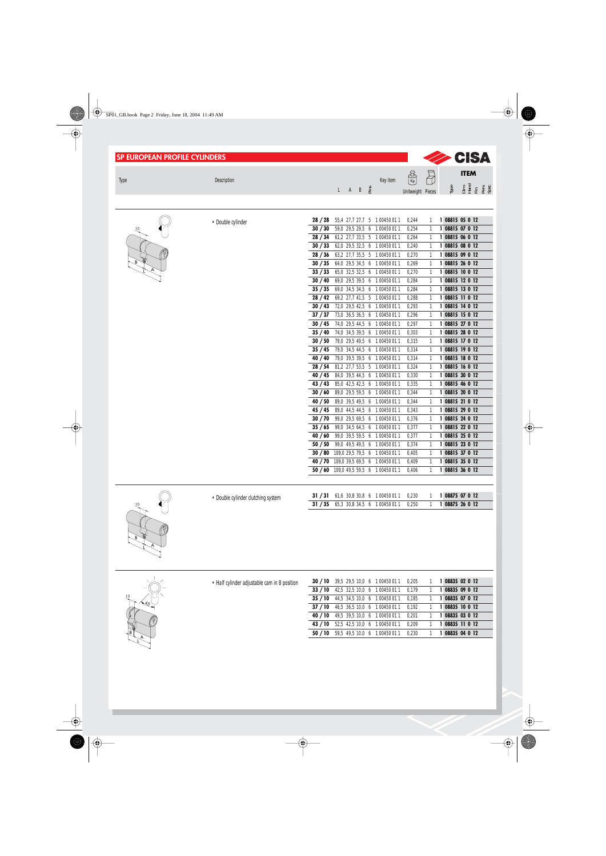| <b>SP EUROPEAN PROFILE CYLINDERS</b> |                                              |                                                                                    |          |                                     |                              |      | <b>SA</b> CISA                     |
|--------------------------------------|----------------------------------------------|------------------------------------------------------------------------------------|----------|-------------------------------------|------------------------------|------|------------------------------------|
|                                      |                                              |                                                                                    |          | $\left(\frac{8}{\kappa_{g}}\right)$ | ā                            |      | <b>ITEM</b>                        |
| <b>Type</b>                          | Description                                  | ÈΪ<br>$L$ $A$ $B$                                                                  | Key item |                                     |                              | Iуре | 들로 또 없음<br>같은 동안                   |
|                                      |                                              |                                                                                    |          | Unitweight Pieces                   |                              |      |                                    |
|                                      |                                              |                                                                                    |          |                                     |                              |      |                                    |
|                                      | • Double cylinder                            | 28/28<br>55,4 27,7 27,7 5 1 00450 011                                              |          | 0,244                               | $\mathbf{1}$                 |      | 1 08815 05 0 12                    |
| 10                                   |                                              | 30 / 30<br>59,0 29,5 29,5 6 1 00450 011                                            |          | 0,254                               | $\mathbf{1}$                 |      | 1 08815 07 0 12                    |
|                                      |                                              | 28 / 34<br>61,2 27,7 33,5 5 1 00450 011<br>30 / 33<br>62,0 29,5 32,5 6 1 00450 011 |          | 0,264                               | $\mathbf{1}$<br>$\mathbf{1}$ |      | 1 08815 06 0 12<br>1 08815 08 0 12 |
|                                      |                                              | 28/36<br>63,2 27,7 35,5 5 1 00450 011                                              |          | 0,240<br>0,270                      | $\mathbf{1}$                 |      | 1 08815 09 0 12                    |
|                                      |                                              | 30 / 35<br>64,0 29,5 34,5 6 1 00450 011                                            |          | 0,269                               | $\mathbf{1}$                 |      | 1 08815 26 0 12                    |
|                                      |                                              | 33 / 33<br>65,0 32,5 32,5 6 1 00450 011                                            |          | 0,270                               | $\mathbf{1}$                 |      | 1 08815 10 0 12                    |
|                                      |                                              | 30/40<br>69,0 29,5 39,5 6 1 00450 011                                              |          | 0,284                               | $\mathbf{1}$                 |      | 1 08815 12 0 12                    |
|                                      |                                              | 35/35<br>69,0 34,5 34,5 6 1 00450 011<br>28/42<br>69,2 27,7 41,5 5 1 00450 011     |          | 0,284<br>0,288                      | $\mathbf{1}$<br>$\mathbf{1}$ |      | 1 08815 13 0 12<br>1 08815 11 0 12 |
|                                      |                                              | 30/43<br>72,0 29,5 42,5 6 1 00450 011                                              |          | 0,293                               | $\mathbf{1}$                 |      | 1 08815 14 0 12                    |
|                                      |                                              | 37 / 37<br>73,0 36,5 36,5 6 1 00450 011                                            |          | 0,296                               | $\mathbf{1}$                 |      | 1 08815 15 0 12                    |
|                                      |                                              | 30/45<br>74,0 29,5 44,5 6 1 00450 011                                              |          | 0,297                               | $\mathbf{1}$                 |      | 1 08815 27 0 12                    |
|                                      |                                              | 35/40<br>74,0 34,5 39,5 6 1 00450 011                                              |          | 0,303                               | $\mathbf{1}$                 |      | 1 08815 28 0 12<br>1 08815 17 0 12 |
|                                      |                                              | 30 / 50<br>79,0 29,5 49,5 6 1 00450 011<br>35/45<br>79,0 34,5 44,5 6 1 00450 011   |          | 0,315<br>0,314                      | $\mathbf{1}$<br>$\mathbf{1}$ |      | 1 08815 19 0 12                    |
|                                      |                                              | 40 / 40<br>79,0 39,5 39,5 6 1 00450 011                                            |          | 0,314                               | $\mathbf{1}$                 |      | 1 08815 18 0 12                    |
|                                      |                                              | 28/54<br>81,2 27,7 53,5 5 1 00450 011                                              |          | 0,324                               | $\mathbf{1}$                 |      | 1 08815 16 0 12                    |
|                                      |                                              | 40 / 45<br>84,0 39,5 44,5 6 1 00450 011                                            |          | 0,330                               | $\overline{1}$               |      | 1 08815 30 0 12                    |
|                                      |                                              | 43/43<br>85,0 42,5 42,5 6 1 00450 011<br>30/60<br>89,0 29,5 59,5 6 1 00450 011     |          | 0,335<br>0,344                      | $\mathbf{1}$<br>$\mathbf{1}$ |      | 1 08815 46 0 12<br>1 08815 20 0 12 |
|                                      |                                              | 40/50<br>89,0 39,5 49,5 6 1 00450 011                                              |          | 0,344                               | $\mathbf{1}$                 |      | 1 08815 21 0 12                    |
|                                      |                                              | 45 / 45<br>89,0 44,5 44,5 6 1 00450 011                                            |          | 0,343                               | $\mathbf{1}$                 |      | 1 08815 29 0 12                    |
|                                      |                                              | 30 / 70<br>99,0 29,5 69,5 6 1 00450 011                                            |          | 0,376                               | $\mathbf{1}$                 |      | 1 08815 24 0 12                    |
|                                      |                                              | 35/65<br>99,0 34,5 64,5 6 1 00450 011                                              |          | 0,377                               | $\mathbf{1}$                 |      | 1 08815 22 0 12                    |
|                                      |                                              | 40/60<br>99,0 39,5 59,5 6 1 00450 011<br>50/50<br>99,0 49,5 49,5 6 1 00450 011     |          | 0,377<br>0,374                      | $\mathbf{1}$<br>$\mathbf{1}$ |      | 1 08815 25 0 12<br>1 08815 23 0 12 |
|                                      |                                              | 30 / 80<br>109,0 29,5 79,5 6 1 00450 011                                           |          | 0,405                               | $\mathbf{1}$                 |      | 1 08815 37 0 12                    |
|                                      |                                              | 40 / 70 109,0 39,5 69,5 6 1 00450 011                                              |          | 0,409                               | $\mathbf{1}$                 |      | 1 08815 35 0 12                    |
|                                      |                                              | 50 / 60 109,0 49,5 59,5 6 1 00450 011                                              |          | 0,406                               | $\mathbf{1}$                 |      | 1 08815 36 0 12                    |
|                                      |                                              |                                                                                    |          |                                     |                              |      |                                    |
|                                      | • Double cylinder clutching system           | 61,6 30,8 30,8 6 1 00450 011<br>31 / 31                                            |          | 0,230                               | 1                            |      | 1 08875 07 0 12                    |
|                                      |                                              | 31 / 35<br>65,3 30,8 34,5 6 1 00450 011                                            |          | 0,250                               | $\mathbf{1}$                 |      | 1 08875 26 0 12                    |
|                                      |                                              |                                                                                    |          |                                     |                              |      |                                    |
|                                      |                                              |                                                                                    |          |                                     |                              |      |                                    |
|                                      |                                              |                                                                                    |          |                                     |                              |      |                                    |
|                                      |                                              |                                                                                    |          |                                     |                              |      |                                    |
|                                      |                                              |                                                                                    |          |                                     |                              |      |                                    |
|                                      |                                              |                                                                                    |          |                                     |                              |      |                                    |
|                                      | • Half cylinder adjustable cam in 8 position | 30 / 10<br>39,5 29,5 10,0 6 1 00450 011                                            |          | 0,205                               | 1                            |      | 1 08835 02 0 12                    |
|                                      |                                              | 33/10<br>42,5 32,5 10,0 6 1 00450 011                                              |          | 0,179                               | $\mathbf{1}$                 |      | 1 08835 09 0 12                    |
|                                      |                                              | 35/10<br>44,5 34,5 10,0 6 1 00450 011                                              |          | 0,185                               | 1                            |      | 1 08835 07 0 12                    |
|                                      |                                              | 37/10<br>46,5 36,5 10,0 6 1 00450 011<br>40/10<br>49,5 39,5 10,0 6 1 00450 011     |          | 0,192                               | 1<br>1                       |      | 1 08835 10 0 12<br>1 08835 03 0 12 |
|                                      |                                              | 43/10<br>52,5 42,5 10,0 6 1 00450 011                                              |          | 0,201<br>0,209                      | 1                            |      | 1 08835 11 0 12                    |
|                                      |                                              | 50/10<br>59,5 49,5 10,0 6 1 00450 011                                              |          | 0,230                               | $\mathbf{1}$                 |      | 1 08835 04 0 12                    |
|                                      |                                              |                                                                                    |          |                                     |                              |      |                                    |
|                                      |                                              |                                                                                    |          |                                     |                              |      |                                    |
|                                      |                                              |                                                                                    |          |                                     |                              |      |                                    |
|                                      |                                              |                                                                                    |          |                                     |                              |      |                                    |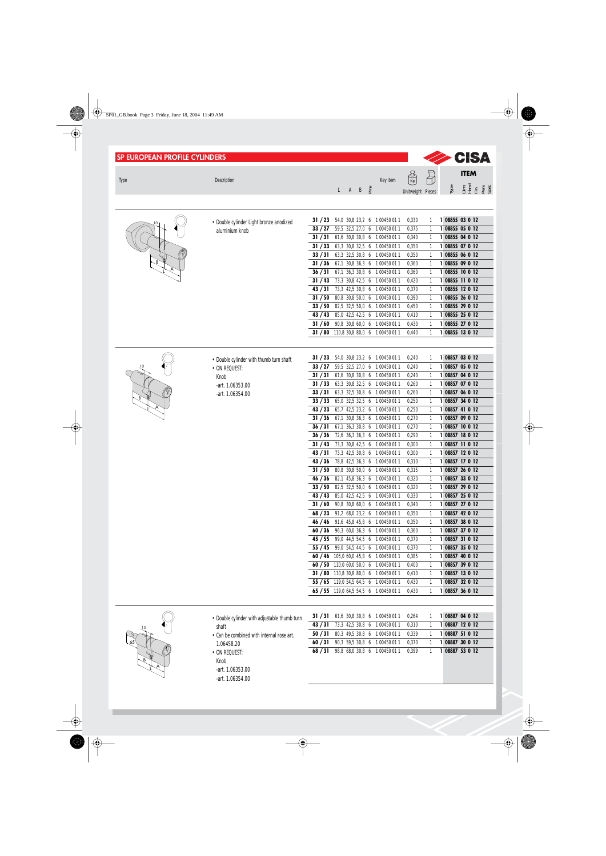| <b>SP EUROPEAN PROFILE CYLINDERS</b> |                                                               |                    |  |                                      |                                                                             |                                                 |                              | <b>SA</b> CISA                             |
|--------------------------------------|---------------------------------------------------------------|--------------------|--|--------------------------------------|-----------------------------------------------------------------------------|-------------------------------------------------|------------------------------|--------------------------------------------|
| <b>Type</b>                          | Description                                                   |                    |  | $L$ $A$ $B$ $\underset{\sim}{\cong}$ | Key item                                                                    | $\left(\frac{3}{5}\right)$<br>Unitweight Pieces | H                            | <b>ITEM</b><br><b>SHERE</b><br>SHERE & SHE |
|                                      | • Double cylinder Light bronze anodized                       | 31/23              |  |                                      | 54,0 30,8 23,2 6 1 00450 011                                                | 0,330                                           | 1                            | 1 08855 03 0 12                            |
|                                      | aluminium knob                                                | 33/27              |  |                                      | 59,5 32,5 27,0 6 1 00450 011                                                | 0,375                                           |                              | 1 08855 05 0 12                            |
|                                      |                                                               | 31 / 31            |  |                                      | 61,6 30,8 30,8 6 1 00450 011                                                | 0,340                                           | 1                            | 1 08855 04 0 12                            |
|                                      |                                                               | 31 / 33            |  |                                      | 63,3 30,8 32,5 6 1 00450 011                                                | 0,350                                           | 1                            | 1 08855 07 0 12<br>1 08855 06 0 12         |
|                                      |                                                               | 33 / 31<br>31 / 36 |  |                                      | 63,3 32,5 30,8 6 1 00450 011<br>67,1 30,8 36,3 6 1 00450 011                | 0,350<br>0,360                                  | $\mathbf{1}$<br>$\mathbf{1}$ | 1 08855 09 0 12                            |
|                                      |                                                               | 36/31              |  |                                      | 67,1 36,3 30,8 6 1 00450 011                                                | 0,360                                           | $\mathbf{1}$                 | 1 08855 10 0 12                            |
|                                      |                                                               | 31/43              |  |                                      | 73,3 30,8 42,5 6 1 00450 011                                                | 0,420                                           | $\mathbf{1}$                 | 1 08855 11 0 12                            |
|                                      |                                                               | 43/31              |  |                                      | 73,3 42,5 30,8 6 1 00450 011                                                | 0,370                                           | $\mathbf{1}$                 | 1 08855 12 0 12                            |
|                                      |                                                               | 31/50              |  |                                      | 80,8 30,8 50,0 6 1 00450 011                                                | 0,390                                           | $\mathbf{1}$                 | 1 08855 26 0 12                            |
|                                      |                                                               | 33/50              |  |                                      | 82,5 32,5 50,0 6 1 00450 011                                                | 0,450                                           | $\mathbf{1}$                 | 1 08855 29 0 12                            |
|                                      |                                                               | 43/43              |  |                                      | 85,0 42,5 42,5 6 1 00450 011                                                | 0,410                                           | $\mathbf{1}$                 | 1 08855 25 0 12<br>1 08855 27 0 12         |
|                                      |                                                               | 31/60              |  |                                      | 90,8 30,8 60,0 6 1 00450 011<br>31 / 80 110,8 30,8 80,0 6 1 00450 011       | 0,430<br>0,440                                  | 1<br>$\mathbf{1}$            | 1 08855 13 0 12                            |
|                                      |                                                               |                    |  |                                      |                                                                             |                                                 |                              |                                            |
|                                      |                                                               | 31/23              |  |                                      | 54,0 30,8 23,2 6 1 00450 011                                                | 0,240                                           | 1                            | 1 08857 03 0 12                            |
| 10                                   | • Double cylinder with thumb turn shaft                       | 33/27              |  |                                      | 59,5 32,5 27,0 6 1 00450 011                                                | 0,240                                           | 1                            | 1 08857 05 0 12                            |
|                                      | • ON REQUEST:<br>Knob                                         | 31 / 31            |  |                                      | 61,6 30,8 30,8 6 1 00450 011                                                | 0,240                                           | 1                            | 1 08857 04 0 12                            |
|                                      | -art. 1.06353.00                                              | 31/33              |  |                                      | 63,3 30,8 32,5 6 1 00450 011                                                | 0,260                                           | 1                            | 1 08857 07 0 12                            |
|                                      | -art. 1.06354.00                                              | 33 / 31            |  |                                      | 63,3 32,5 30,8 6 1 00450 011                                                | 0,260                                           | 1                            | 1 08857 06 0 12                            |
|                                      |                                                               | 33 / 33            |  |                                      | 65,0 32,5 32,5 6 1 00450 011                                                | 0,250                                           | 1                            | 1 08857 34 0 12                            |
|                                      |                                                               | 43 / 23            |  |                                      | 65,7 42,5 23,2 6 1 00450 011                                                | 0,250                                           | 1                            | 1 08857 41 0 12                            |
|                                      |                                                               | 31/36              |  |                                      | 67,1 30,8 36,3 6 1 00450 011                                                | 0,270                                           | $\mathbf{1}$                 | 1 08857 09 0 12                            |
|                                      |                                                               | 36 / 31            |  |                                      | 67,1 36,3 30,8 6 1 00450 011                                                | 0,270                                           | $\mathbf{1}$                 | 1 08857 10 0 12                            |
|                                      |                                                               | 36 / 36            |  |                                      | 72,6 36,3 36,3 6 1 00450 011                                                | 0,290                                           | $\mathbf{1}$                 | 1 08857 18 0 12                            |
|                                      |                                                               | 31/43              |  |                                      | 73,3 30,8 42,5 6 1 00450 011                                                | 0,300                                           | 1                            | 1 08857 11 0 12                            |
|                                      |                                                               | 43 / 31<br>43/36   |  |                                      | 73,3 42,5 30,8 6 1 00450 011<br>78,8 42,5 36,3 6 1 00450 011                | 0,300<br>0,310                                  | 1<br>1                       | 1 08857 12 0 12<br>1 08857 17 0 12         |
|                                      |                                                               | 31/50              |  |                                      | 80,8 30,8 50,0 6 1 00450 011                                                | 0,315                                           | $\mathbf{1}$                 | 1 08857 26 0 12                            |
|                                      |                                                               | 46 / 36            |  |                                      | 82,1 45,8 36,3 6 1 00450 011                                                | 0,320                                           | 1                            | 1 08857 33 0 12                            |
|                                      |                                                               | 33/50              |  |                                      | 82,5 32,5 50,0 6 1 00450 011                                                | 0,320                                           |                              | 1 08857 29 0 12                            |
|                                      |                                                               | 43/43              |  |                                      | 85,0 42,5 42,5 6 1 00450 011                                                | 0,330                                           | 1                            | 1 08857 25 0 12                            |
|                                      |                                                               | 31/60              |  |                                      | 90,8 30,8 60,0 6 1 00450 011                                                | 0,340                                           | 1                            | 1 08857 27 0 12                            |
|                                      |                                                               | 68/23              |  |                                      | 91,2 68,0 23,2 6 1 00450 011                                                | 0,350                                           | 1                            | 1 08857 42 0 12                            |
|                                      |                                                               | 46 / 46            |  |                                      | 91,6 45,8 45,8 6 1 00450 011                                                | 0,350                                           | 1                            | 1 08857 38 0 12                            |
|                                      |                                                               | 60/36              |  |                                      | 96,3 60,0 36,3 6 100450 011                                                 | 0,360                                           | 1                            | 1 08857 37 0 12                            |
|                                      |                                                               |                    |  |                                      | 45 / 55 99,0 44,5 54,5 6 1 00450 011<br>55 / 45 99,0 54,5 44,5 6 100450 011 | 0,370                                           | 1                            | 1 08857 31 0 12<br>1 08857 35 0 12         |
|                                      |                                                               |                    |  |                                      | 60 / 46 105,0 60,0 45,8 6 1 00450 011                                       | 0,370<br>0,385                                  | 1<br>1                       | 1 08857 40 0 12                            |
|                                      |                                                               |                    |  |                                      | 60 / 50 110,0 60,0 50,0 6 1 00450 011                                       | 0,400                                           | 1                            | 1 08857 39 0 12                            |
|                                      |                                                               |                    |  |                                      | 31 / 80 110,8 30,8 80,0 6 1 00450 011                                       | 0,410                                           | 1                            | 1 08857 13 0 12                            |
|                                      |                                                               |                    |  |                                      | 55 / 65 119,0 54,5 64,5 6 1 00450 011                                       | 0,430                                           | 1                            | 1 08857 32 0 12                            |
|                                      |                                                               |                    |  |                                      | 65 / 55 119,0 64,5 54,5 6 1 00450 011                                       | 0,430                                           | 1                            | 1 08857 36 0 12                            |
|                                      |                                                               |                    |  |                                      |                                                                             |                                                 |                              |                                            |
|                                      | • Double cylinder with adjustable thumb turn                  | 31 / 31            |  |                                      | 61,6 30,8 30,8 6 1 00450 011                                                | 0,264                                           | 1                            | 1 08887 04 0 12                            |
|                                      | shaft                                                         | 43/31              |  |                                      | 73,3 42,5 30,8 6 1 00450 011                                                | 0,310                                           | 1                            | 1 08887 12 0 12                            |
|                                      | • Can be combined with internal rose art.                     | 50/31              |  |                                      | 80,3 49,5 30,8 6 1 00450 011                                                | 0,339                                           | 1                            | 1 08887 51 0 12                            |
|                                      | 1.06458.20                                                    | 60/31              |  |                                      | 90,3 59,5 30,8 6 1 00450 011                                                | 0,370                                           | 1                            | 1 08887 30 0 12<br>1 08887 53 0 12         |
|                                      | • ON REQUEST:<br>Knob<br>-art. 1.06353.00<br>-art. 1.06354.00 | 68/31              |  |                                      | 98,8 68,0 30,8 6 1 00450 011                                                | 0,399                                           | $\mathbf{1}$                 |                                            |